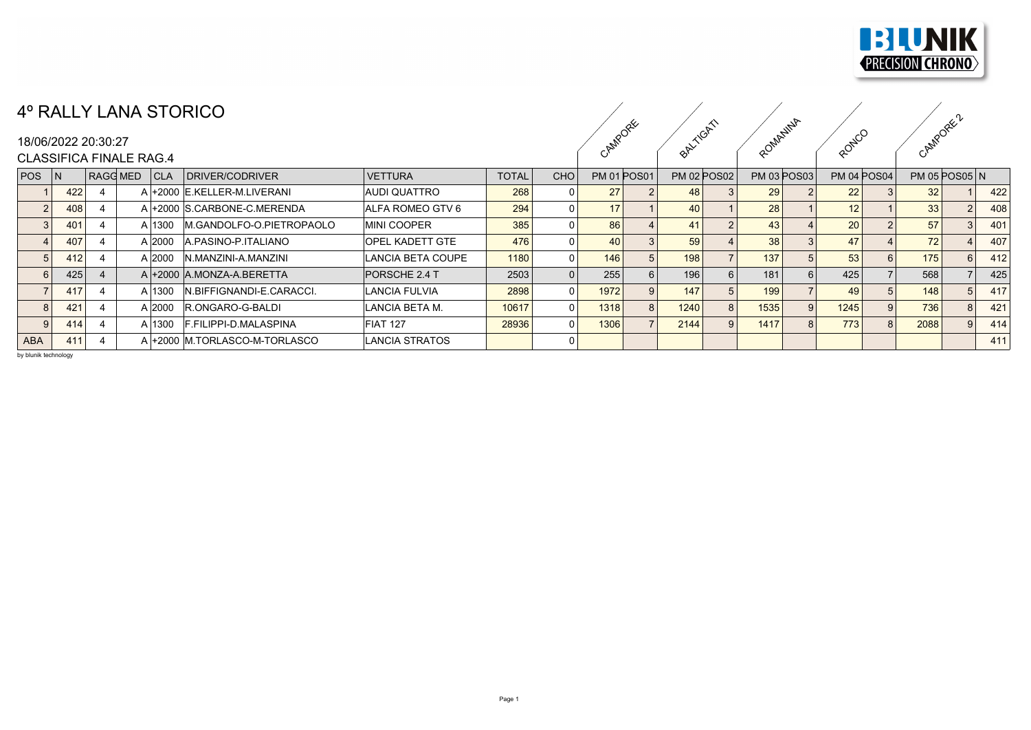

## 4º RALLY LANA STORICO

## CAMPORE ORKITCATS ROMANINA ROMCO

|            |     |                     | TV LET ENVIOIUINUU                  |                      |              |            |         |                    |                    |                    |                    |                   |     |
|------------|-----|---------------------|-------------------------------------|----------------------|--------------|------------|---------|--------------------|--------------------|--------------------|--------------------|-------------------|-----|
|            |     | 18/06/2022 20:30:27 |                                     |                      |              |            | CAMPORE |                    | BALLYCA!           | ROMANINA           | RONCO              | CAMPOREC'         |     |
|            |     |                     | <b>CLASSIFICA FINALE RAG.4</b>      |                      |              |            |         |                    |                    |                    |                    |                   |     |
| $POS$ $ N$ |     |                     | RAGG MED<br> CLA<br>DRIVER/CODRIVER | <b>VETTURA</b>       | <b>TOTAL</b> | <b>CHO</b> |         | <b>PM 01 POS01</b> | <b>PM 02 POS02</b> | <b>PM 03 POS03</b> | <b>PM 04 POS04</b> | $PM$ 05 $POSO5$ N |     |
|            | 422 |                     | A +2000 E.KELLER-M.LIVERANI         | <b>AUDI QUATTRO</b>  | 268          |            | 27      |                    | 48                 | 29                 | 22                 | 32 <sub>1</sub>   | 422 |
|            | 408 |                     | A +2000 S.CARBONE-C.MERENDA         | ALFA ROMEO GTV 6     | 294          |            | 17      |                    | 40                 | 28                 | 12 <sup>1</sup>    | 33                | 408 |
|            | 401 |                     | M.GANDOLFO-O.PIETROPAOLO<br>A 1300  | <b>MINI COOPER</b>   | 385          |            | 86      |                    | 41                 | 43                 | 20 <sub>1</sub>    | 57                | 401 |
|            | 407 |                     | A 2000<br>A PASINO-P ITALIANO       | OPEL KADETT GTE      | 476          |            | 40      |                    | 59                 | 38                 | 47                 | 72                | 407 |
|            | 412 |                     | A 2000<br>N.MANZINI-A.MANZINI       | LANCIA BETA COUPE    | 1180         |            | 146     |                    | 198                | 137                | 53                 | 175               | 412 |
|            | 425 |                     | A +2000 A.MONZA-A.BERETTA           | PORSCHE 2.4 T        | 2503         |            | 255     |                    | 196                | 181                | 425                | 568               | 425 |
|            | 417 |                     | A 1300<br>IN.BIFFIGNANDI-E.CARACCI. | <b>LANCIA FULVIA</b> | 2898         |            | 1972    |                    | 147                | 199                | 49                 | 148               | 417 |
|            | 421 |                     | R.ONGARO-G-BALDI<br>A 2000          | LANCIA BETA M.       | 10617        |            | 1318    |                    | 1240               | 1535               | 1245               | 736               | 421 |
|            | 414 |                     | F.FILIPPI-D.MALASPINA<br>A 1300     | FIAT 127             | 28936        |            | 1306    |                    | 2144               | 1417               | 773                | 2088              | 414 |
| <b>ABA</b> | 411 |                     | A +2000 M.TORLASCO-M-TORLASCO       | LANCIA STRATOS       |              |            |         |                    |                    |                    |                    |                   | 411 |
|            |     |                     |                                     |                      |              |            |         |                    |                    |                    |                    |                   |     |

by blunik technology